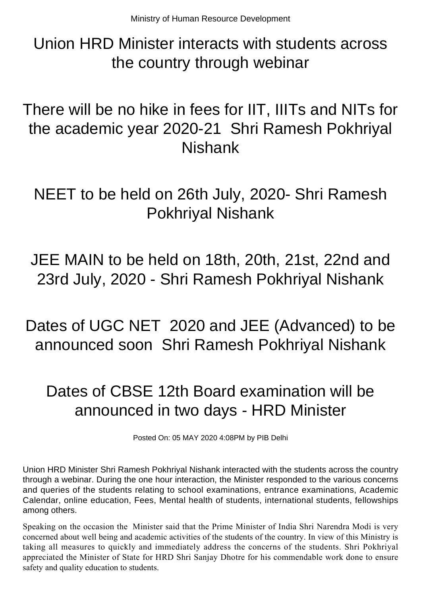Union HRD Minister interacts with students across the country through webinar

There will be no hike in fees for IIT, IIITs and NITs for the academic year 2020-21 Shri Ramesh Pokhriyal Nishank

NEET to be held on 26th July, 2020- Shri Ramesh Pokhriyal Nishank

JEE MAIN to be held on 18th, 20th, 21st, 22nd and 23rd July, 2020 - Shri Ramesh Pokhriyal Nishank

Dates of UGC NET 2020 and JEE (Advanced) to be announced soon Shri Ramesh Pokhriyal Nishank

## Dates of CBSE 12th Board examination will be announced in two days - HRD Minister

Posted On: 05 MAY 2020 4:08PM by PIB Delhi

Union HRD Minister Shri Ramesh Pokhriyal Nishank interacted with the students across the country through a webinar. During the one hour interaction, the Minister responded to the various concerns and queries of the students relating to school examinations, entrance examinations, Academic Calendar, online education, Fees, Mental health of students, international students, fellowships among others.

Speaking on the occasion the Minister said that the Prime Minister of India Shri Narendra Modi is very concerned about well being and academic activities of the students of the country. In view of this Ministry is taking all measures to quickly and immediately address the concerns of the students. Shri Pokhriyal appreciated the Minister of State for HRD Shri Sanjay Dhotre for his commendable work done to ensure safety and quality education to students.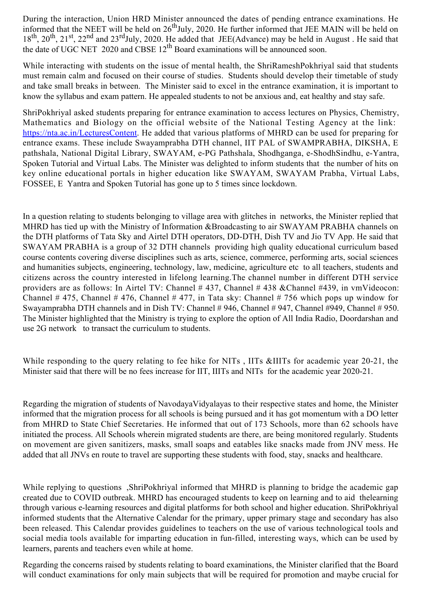During the interaction, Union HRD Minister announced the dates of pending entrance examinations. He informed that the NEET will be held on 26<sup>th</sup>July, 2020. He further informed that JEE MAIN will be held on  $18<sup>th</sup>$ ,  $20<sup>th</sup>$ ,  $21<sup>st</sup>$ ,  $22<sup>nd</sup>$  and  $23<sup>rd</sup>$ July, 2020. He added that JEE(Advance) may be held in August . He said that the date of UGC NET 2020 and CBSE  $12^{th}$  Board examinations will be announced soon.

While interacting with students on the issue of mental health, the ShriRameshPokhriyal said that students must remain calm and focused on their course of studies. Students should develop their timetable of study and take small breaks in between. The Minister said to excel in the entrance examination, it is important to know the syllabus and exam pattern. He appealed students to not be anxious and, eat healthy and stay safe.

ShriPokhriyal asked students preparing for entrance examination to access lectures on Physics, Chemistry, Mathematics and Biology on the official website of the National Testing Agency at the link: <https://nta.ac.in/LecturesContent>. He added that various platforms of MHRD can be used for preparing for entrance exams. These include Swayamprabha DTH channel, IIT PAL of SWAMPRABHA, DIKSHA, E pathshala, National Digital Library, SWAYAM, e-PG Pathshala, Shodhganga, e-ShodhSindhu, e-Yantra, Spoken Tutorial and Virtual Labs. The Minister was delighted to inform students that the number of hits on key online educational portals in higher education like SWAYAM, SWAYAM Prabha, Virtual Labs, FOSSEE, E Yantra and Spoken Tutorial has gone up to 5 times since lockdown.

In a question relating to students belonging to village area with glitches in networks, the Minister replied that MHRD has tied up with the Ministry of Information &Broadcasting to air SWAYAM PRABHA channels on the DTH platforms of Tata Sky and Airtel DTH operators, DD-DTH, Dish TV and Jio TV App. He said that SWAYAM PRABHA is a group of 32 DTH channels providing high quality educational curriculum based course contents covering diverse disciplines such as arts, science, commerce, performing arts, social sciences and humanities subjects, engineering, technology, law, medicine, agriculture etc to all teachers, students and citizens across the country interested in lifelong learning.The channel number in different DTH service providers are as follows: In Airtel TV: Channel # 437, Channel # 438 &Channel #439, in vmVideocon: Channel # 475, Channel # 476, Channel # 477, in Tata sky: Channel # 756 which pops up window for Swayamprabha DTH channels and in Dish TV: Channel # 946, Channel # 947, Channel #949, Channel # 950. The Minister highlighted that the Ministry is trying to explore the option of All India Radio, Doordarshan and use 2G network to transact the curriculum to students.

While responding to the query relating to fee hike for NITs, IITs &IIITs for academic year 20-21, the Minister said that there will be no fees increase for IIT, IIITs and NITs for the academic year 2020-21.

Regarding the migration of students of NavodayaVidyalayas to their respective states and home, the Minister informed that the migration process for all schools is being pursued and it has got momentum with a DO letter from MHRD to State Chief Secretaries. He informed that out of 173 Schools, more than 62 schools have initiated the process. All Schools wherein migrated students are there, are being monitored regularly. Students on movement are given sanitizers, masks, small soaps and eatables like snacks made from JNV mess. He added that all JNVs en route to travel are supporting these students with food, stay, snacks and healthcare.

While replying to questions ,ShriPokhriyal informed that MHRD is planning to bridge the academic gap created due to COVID outbreak. MHRD has encouraged students to keep on learning and to aid thelearning through various e-learning resources and digital platforms for both school and higher education. ShriPokhriyal informed students that the Alternative Calendar for the primary, upper primary stage and secondary has also been released. This Calendar provides guidelines to teachers on the use of various technological tools and social media tools available for imparting education in fun-filled, interesting ways, which can be used by learners, parents and teachers even while at home.

Regarding the concerns raised by students relating to board examinations, the Minister clarified that the Board will conduct examinations for only main subjects that will be required for promotion and maybe crucial for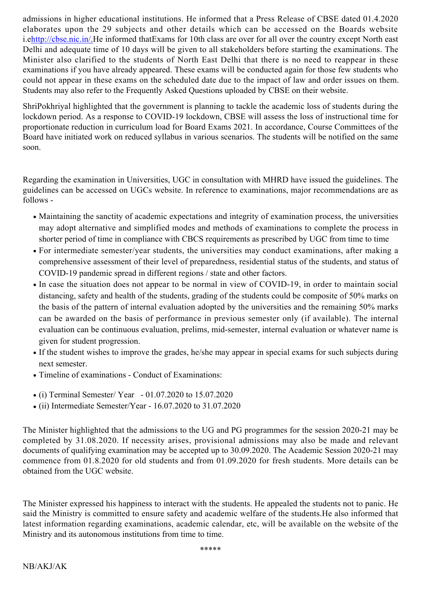admissions in higher educational institutions. He informed that a Press Release of CBSE dated 01.4.2020 elaborates upon the 29 subjects and other details which can be accessed on the Boards website i.[ehttp://cbse.nic.in/](http://cbse.nic.in/).He informed thatExams for 10th class are over for all over the country except North east Delhi and adequate time of 10 days will be given to all stakeholders before starting the examinations. The Minister also clarified to the students of North East Delhi that there is no need to reappear in these examinations if you have already appeared. These exams will be conducted again for those few students who could not appear in these exams on the scheduled date due to the impact of law and order issues on them. Students may also refer to the Frequently Asked Questions uploaded by CBSE on their website.

ShriPokhriyal highlighted that the government is planning to tackle the academic loss of students during the lockdown period. As a response to COVID-19 lockdown, CBSE will assess the loss of instructional time for proportionate reduction in curriculum load for Board Exams 2021. In accordance, Course Committees of the Board have initiated work on reduced syllabus in various scenarios. The students will be notified on the same soon.

Regarding the examination in Universities, UGC in consultation with MHRD have issued the guidelines. The guidelines can be accessed on UGCs website. In reference to examinations, major recommendations are as follows -

- Maintaining the sanctity of academic expectations and integrity of examination process, the universities may adopt alternative and simplified modes and methods of examinations to complete the process in shorter period of time in compliance with CBCS requirements as prescribed by UGC from time to time
- For intermediate semester/year students, the universities may conduct examinations, after making a comprehensive assessment of their level of preparedness, residential status of the students, and status of COVID-19 pandemic spread in different regions / state and other factors.
- In case the situation does not appear to be normal in view of COVID-19, in order to maintain social distancing, safety and health of the students, grading of the students could be composite of 50% marks on the basis of the pattern of internal evaluation adopted by the universities and the remaining 50% marks can be awarded on the basis of performance in previous semester only (if available). The internal evaluation can be continuous evaluation, prelims, mid-semester, internal evaluation or whatever name is given for student progression.
- If the student wishes to improve the grades, he/she may appear in special exams for such subjects during next semester.
- Timeline of examinations Conduct of Examinations:
- (i) Terminal Semester/ Year 01.07.2020 to 15.07.2020
- $\bullet$  (ii) Intermediate Semester/Year 16.07.2020 to 31.07.2020

The Minister highlighted that the admissions to the UG and PG programmes for the session 2020-21 may be completed by 31.08.2020. If necessity arises, provisional admissions may also be made and relevant documents of qualifying examination may be accepted up to 30.09.2020. The Academic Session 2020-21 may commence from 01.8.2020 for old students and from 01.09.2020 for fresh students. More details can be obtained from the UGC website.

The Minister expressed his happiness to interact with the students. He appealed the students not to panic. He said the Ministry is committed to ensure safety and academic welfare of the students.He also informed that latest information regarding examinations, academic calendar, etc, will be available on the website of the Ministry and its autonomous institutions from time to time.

\*\*\*\*\*